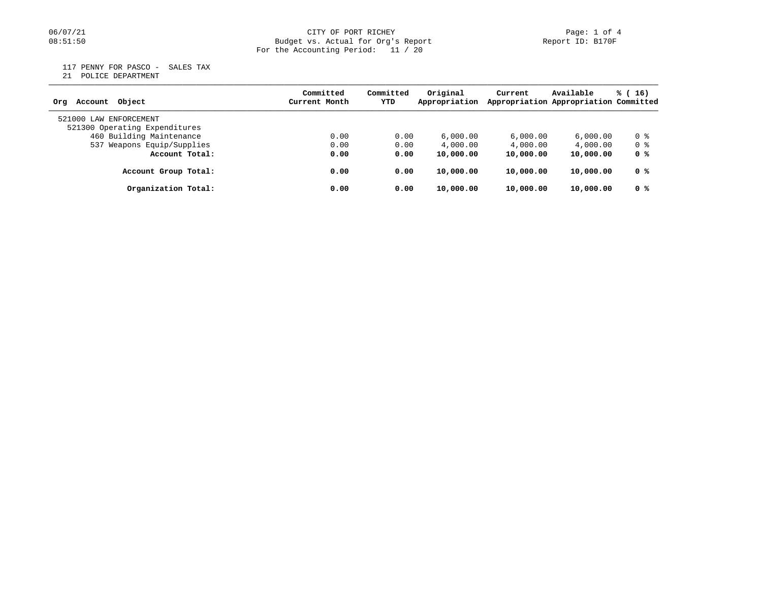## 06/07/21 CITY OF PORT RICHEY Page: 1 of 4 08:51:50 Budget vs. Actual for Org's Report Report ID: B170F For the Accounting Period: 11 / 20

117 PENNY FOR PASCO - SALES TAX

21 POLICE DEPARTMENT

| Account Object<br>Orq                                   | Committed<br>Current Month | Committed<br>YTD | Original<br>Appropriation | Current   | Available<br>Appropriation Appropriation Committed | $\frac{16}{2}$ |
|---------------------------------------------------------|----------------------------|------------------|---------------------------|-----------|----------------------------------------------------|----------------|
| 521000 LAW ENFORCEMENT<br>521300 Operating Expenditures |                            |                  |                           |           |                                                    |                |
| 460 Building Maintenance                                | 0.00                       | 0.00             | 6,000.00                  | 6,000.00  | 6,000.00                                           | 0 %            |
| 537 Weapons Equip/Supplies                              | 0.00                       | 0.00             | 4,000.00                  | 4,000.00  | 4,000.00                                           | 0 %            |
| Account Total:                                          | 0.00                       | 0.00             | 10,000.00                 | 10,000.00 | 10,000.00                                          | 0 %            |
| Account Group Total:                                    | 0.00                       | 0.00             | 10,000.00                 | 10,000.00 | 10,000.00                                          | 0 %            |
| Organization Total:                                     | 0.00                       | 0.00             | 10,000.00                 | 10,000.00 | 10,000.00                                          | 0 %            |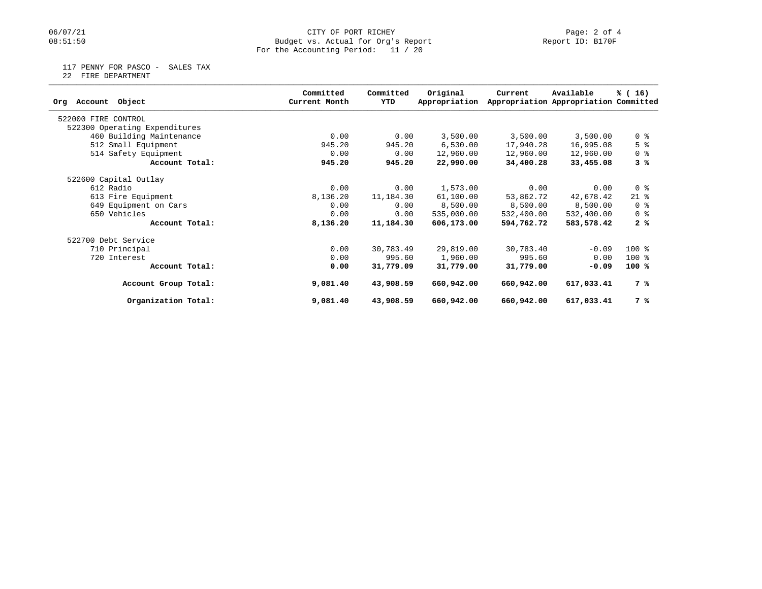## 06/07/21 CITY OF PORT RICHEY Page: 2 of 4<br>
Budget vs. Actual for Org's Report Page: 2 Of 4<br>
Page: 2 of 4<br>
Report ID: B170F Budget vs. Actual for Org's Report For the Accounting Period: 11 / 20

117 PENNY FOR PASCO - SALES TAX

22 FIRE DEPARTMENT

|                               | Committed     | Committed | Original      | Current    | Available                             | % (16)         |
|-------------------------------|---------------|-----------|---------------|------------|---------------------------------------|----------------|
| Account Object<br>Orq         | Current Month | YTD       | Appropriation |            | Appropriation Appropriation Committed |                |
| 522000 FIRE CONTROL           |               |           |               |            |                                       |                |
| 522300 Operating Expenditures |               |           |               |            |                                       |                |
| 460 Building Maintenance      | 0.00          | 0.00      | 3,500.00      | 3,500.00   | 3,500.00                              | 0 <sup>8</sup> |
| 512 Small Equipment           | 945.20        | 945.20    | 6,530.00      | 17,940.28  | 16,995.08                             | 5 <sup>8</sup> |
| 514 Safety Equipment          | 0.00          | 0.00      | 12,960.00     | 12,960.00  | 12,960.00                             | 0 <sub>8</sub> |
| Account Total:                | 945.20        | 945.20    | 22,990.00     | 34,400.28  | 33,455.08                             | 3 %            |
| 522600 Capital Outlay         |               |           |               |            |                                       |                |
| 612 Radio                     | 0.00          | 0.00      | 1,573.00      | 0.00       | 0.00                                  | 0 <sub>8</sub> |
| 613 Fire Equipment            | 8,136.20      | 11,184.30 | 61,100.00     | 53,862.72  | 42,678.42                             | $21$ %         |
| 649 Equipment on Cars         | 0.00          | 0.00      | 8,500.00      | 8,500.00   | 8,500.00                              | 0 <sub>8</sub> |
| 650 Vehicles                  | 0.00          | 0.00      | 535,000.00    | 532,400.00 | 532,400.00                            | 0 <sup>8</sup> |
| Account Total:                | 8,136.20      | 11,184.30 | 606,173.00    | 594,762.72 | 583,578.42                            | 2%             |
| 522700 Debt Service           |               |           |               |            |                                       |                |
| 710 Principal                 | 0.00          | 30,783.49 | 29,819.00     | 30,783.40  | $-0.09$                               | $100*$         |
| 720 Interest                  | 0.00          | 995.60    | 1,960.00      | 995.60     | 0.00                                  | $100*$         |
| Account Total:                | 0.00          | 31,779.09 | 31,779.00     | 31,779.00  | $-0.09$                               | $100*$         |
| Account Group Total:          | 9,081.40      | 43,908.59 | 660,942.00    | 660,942.00 | 617,033.41                            | 7 %            |
| Organization Total:           | 9,081.40      | 43,908.59 | 660,942.00    | 660,942.00 | 617,033.41                            | 7 %            |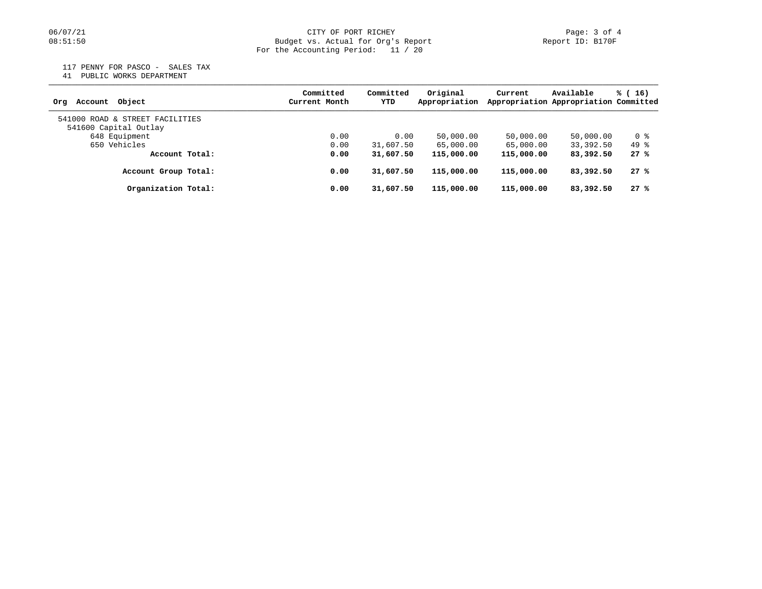117 PENNY FOR PASCO - SALES TAX

41 PUBLIC WORKS DEPARTMENT

| Account Object<br>Orq                                    | Committed<br>Current Month | Committed<br>YTD | Original<br>Appropriation | Current    | Available<br>Appropriation Appropriation Committed | $\frac{16}{2}$ |
|----------------------------------------------------------|----------------------------|------------------|---------------------------|------------|----------------------------------------------------|----------------|
| 541000 ROAD & STREET FACILITIES<br>541600 Capital Outlay |                            |                  |                           |            |                                                    |                |
| 648 Equipment                                            | 0.00                       | 0.00             | 50,000.00                 | 50,000.00  | 50,000.00                                          | 0 %            |
| 650 Vehicles                                             | 0.00                       | 31,607.50        | 65,000.00                 | 65,000.00  | 33,392.50                                          | 49 %           |
| Account Total:                                           | 0.00                       | 31,607.50        | 115,000.00                | 115,000.00 | 83,392.50                                          | 27%            |
| Account Group Total:                                     | 0.00                       | 31,607.50        | 115,000.00                | 115,000.00 | 83,392.50                                          | 27%            |
| Organization Total:                                      | 0.00                       | 31,607.50        | 115,000.00                | 115,000.00 | 83,392.50                                          | 27%            |